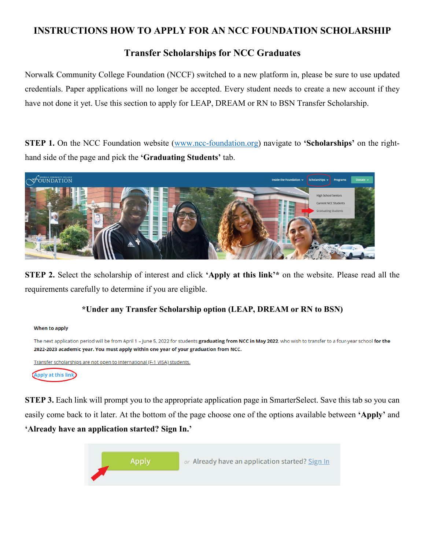### **INSTRUCTIONS HOW TO APPLY FOR AN NCC FOUNDATION SCHOLARSHIP**

## **Transfer Scholarships for NCC Graduates**

Norwalk Community College Foundation (NCCF) switched to a new platform in, please be sure to use updated credentials. Paper applications will no longer be accepted. Every student needs to create a new account if they have not done it yet. Use this section to apply for LEAP, DREAM or RN to BSN Transfer Scholarship.

**STEP 1.** On the NCC Foundation website [\(www.ncc-foundation.org\)](http://www.ncc-foundation.org/) navigate to **'Scholarships'** on the righthand side of the page and pick the **'Graduating Students'** tab.



**STEP 2.** Select the scholarship of interest and click **'Apply at this link'\*** on the website. Please read all the requirements carefully to determine if you are eligible.

#### **\*Under any Transfer Scholarship option (LEAP, DREAM or RN to BSN)**



**STEP 3.** Each link will prompt you to the appropriate application page in SmarterSelect. Save this tab so you can easily come back to it later. At the bottom of the page choose one of the options available between **'Apply'** and **'Already have an application started? Sign In.'** 

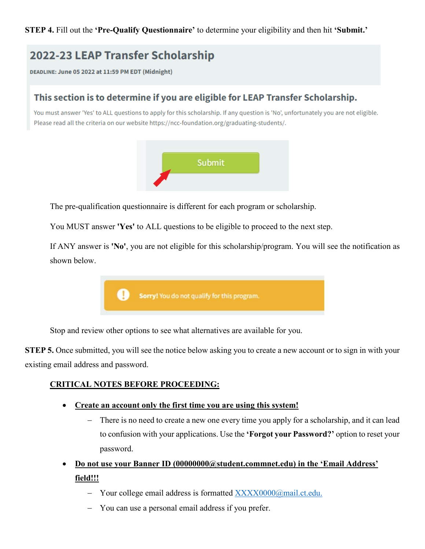**STEP 4.** Fill out the **'Pre-Qualify Questionnaire'** to determine your eligibility and then hit **'Submit.'**

## 2022-23 LEAP Transfer Scholarship

DEADLINE: June 05 2022 at 11:59 PM EDT (Midnight)

## This section is to determine if you are eligible for LEAP Transfer Scholarship.

You must answer 'Yes' to ALL questions to apply for this scholarship. If any question is 'No', unfortunately you are not eligible. Please read all the criteria on our website https://ncc-foundation.org/graduating-students/.



The pre-qualification questionnaire is different for each program or scholarship.

You MUST answer **'Yes'** to ALL questions to be eligible to proceed to the next step.

If ANY answer is **'No'**, you are not eligible for this scholarship/program. You will see the notification as shown below.



Stop and review other options to see what alternatives are available for you.

**STEP 5.** Once submitted, you will see the notice below asking you to create a new account or to sign in with your existing email address and password.

#### **CRITICAL NOTES BEFORE PROCEEDING:**

- **Create an account only the first time you are using this system!**
	- − There is no need to create a new one every time you apply for a scholarship, and it can lead to confusion with your applications. Use the **'Forgot your Password?'** option to reset your password.
- **Do not use your Banner ID (00000000@student.commnet.edu) in the 'Email Address' field!!!**
	- − Your college email address is formatted [XXXX0000@mail.ct.edu.](mailto:XXXX0000@mail.ct.edu)
	- − You can use a personal email address if you prefer.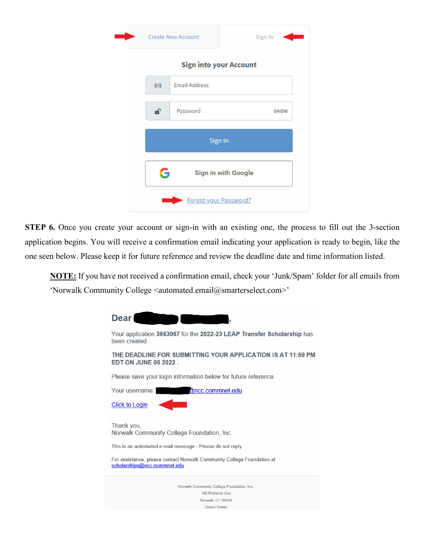|    | <b>Sign into your Account</b> |             |
|----|-------------------------------|-------------|
| Z  | <b>Email Address</b>          |             |
| a. | Password                      | <b>SHOW</b> |
|    | Sign In                       |             |
|    |                               |             |

**STEP 6.** Once you create your account or sign-in with an existing one, the process to fill out the 3-section application begins. You will receive a confirmation email indicating your application is ready to begin, like the one seen below. Please keep it for future reference and review the deadline date and time information listed.

**NOTE:** If you have not received a confirmation email, check your 'Junk/Spam' folder for all emails from 'Norwalk Community College <automated.email@smarterselect.com>'

| <b>Dear</b>                                                                                             |
|---------------------------------------------------------------------------------------------------------|
| Your application 3663067 for the 2022-23 LEAP Transfer Scholarship has<br>been created                  |
| THE DEADLINE FOR SUBMITTING YOUR APPLICATION IS AT 11:59 PM<br><b>EDT ON JUNE 05 2022</b>               |
| Please save your login information below for future reference.                                          |
| @ncc.commnet.edu<br>Your username:                                                                      |
| <b>Click to Login</b>                                                                                   |
| Thank you.<br>Norwalk Community College Foundation, Inc.                                                |
| This is an automated e-mail message - Please do not reply.                                              |
| For assistance, please contact Norwalk Community College Foundation at<br>scholarships@ncc.commnet.edu. |
| Norwalk Community College Foundation, Inc.                                                              |
| 188 Richards Ave                                                                                        |
| Norwalk, CT 06854                                                                                       |
| <b>United States</b>                                                                                    |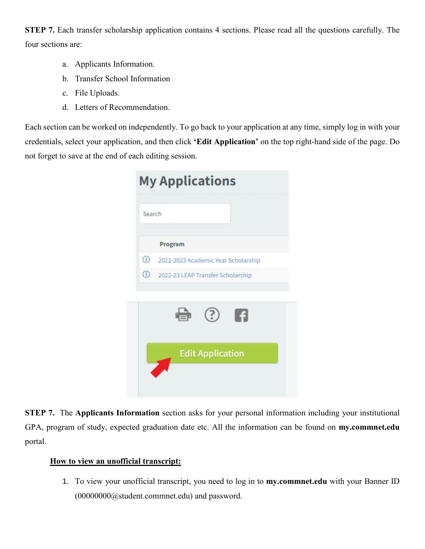**STEP 7.** Each transfer scholarship application contains 4 sections. Please read all the questions carefully. The four sections are:

- a. Applicants Information.
- b. Transfer School Information
- c. File Uploads.
- d. Letters of Recommendation.

Each section can be worked on independently. To go back to your application at any time, simply log in with your credentials, select your application, and then click **'Edit Application'** on the top right-hand side of the page. Do not forget to save at the end of each editing session.

| Search        |                                     |
|---------------|-------------------------------------|
|               | Program                             |
| $\circled{1}$ | 2022-2023 Academic Year Scholarship |
| $\odot$       | 2022-23 LEAP Transfer Scholarship   |
|               | я<br>3)                             |
|               | <b>Edit Application</b>             |

**STEP 7.** The **Applicants Information** section asks for your personal information including your institutional GPA, program of study, expected graduation date etc. All the information can be found on **my.commnet.edu**  portal.

#### **How to view an unofficial transcript:**

1. To view your unofficial transcript, you need to log in to **my.commnet.edu** with your Banner ID (00000000@student.commnet.edu) and password.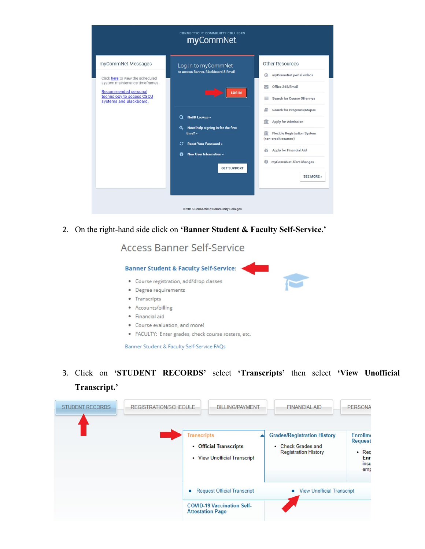|                                                                                                                                                                          | <b>CONNECTICUT COMMUNITY COLLEGES</b><br>myCommNet                                                                                                                                |                                                                                                                                                                                                                                |  |  |
|--------------------------------------------------------------------------------------------------------------------------------------------------------------------------|-----------------------------------------------------------------------------------------------------------------------------------------------------------------------------------|--------------------------------------------------------------------------------------------------------------------------------------------------------------------------------------------------------------------------------|--|--|
| myCommNet Messages<br>Click here to view the scheduled<br>system maintenance timeframes.<br>Recommended personal<br>technology to access CSCU<br>systems and Blackboard. | Log In to myCommNet<br>to access Banner, Blackboard & Email<br><b>LOG IN</b>                                                                                                      | <b>Other Resources</b><br>myCommNet portal videos<br>$\circledcirc$<br>Office 365/Email<br>≂<br><b>Search for Course Offerings</b>                                                                                             |  |  |
|                                                                                                                                                                          | <b>NetID Lookup</b> »<br>Q<br>Need help signing in for the first<br>a.<br>time?»<br><b>Reset Your Password »</b><br>c<br><b>New User Information »</b><br>A<br><b>GET SUPPORT</b> | Search for Programs/Majors<br>Apply for Admission<br>Ш<br><b>Flexible Registration System</b><br>πī<br>(non-credit courses)<br><b>Apply for Financial Aid</b><br>ű<br>$\bf{0}$<br>myCommNet Alert Changes<br><b>SEE MORE</b> » |  |  |
|                                                                                                                                                                          | © 2015 Connecticut Community Colleges                                                                                                                                             |                                                                                                                                                                                                                                |  |  |

2. On the right-hand side click on **'Banner Student & Faculty Self-Service.'**

## Access Banner Self-Service



Banner Student & Faculty Self-Service FAQs

3. Click on **'STUDENT RECORDS'** select **'Transcripts'** then select **'View Unofficial Transcript.'** 

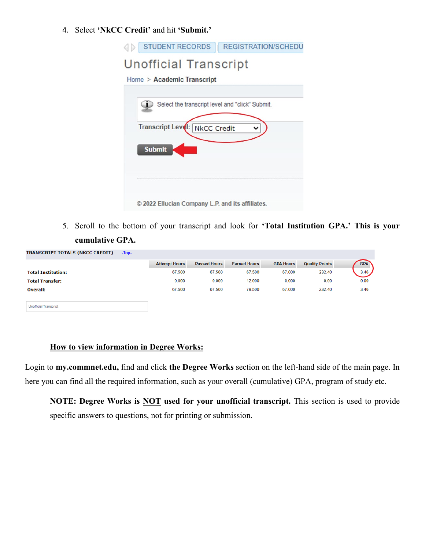#### 4. Select **'NkCC Credit'** and hit **'Submit.'**

| <b>STUDENT RECORDS</b><br><b>REGISTRATION/SCHEDU</b> |
|------------------------------------------------------|
| <b>Unofficial Transcript</b>                         |
| Home > Academic Transcript                           |
| Select the transcript level and "click" Submit.      |
| <b>Transcript Leve</b><br><b>NkCC Credit</b>         |
| <b>Submit</b>                                        |
|                                                      |
| © 2022 Ellucian Company L.P. and its affiliates.     |

5. Scroll to the bottom of your transcript and look for **'Total Institution GPA.' This is your cumulative GPA.**

| TRANSCRIPT TOTALS (NKCC CREDIT) | $-TOD-$ |                      |                     |                     |                  |                       |            |
|---------------------------------|---------|----------------------|---------------------|---------------------|------------------|-----------------------|------------|
|                                 |         | <b>Attempt Hours</b> | <b>Passed Hours</b> | <b>Earned Hours</b> | <b>GPA Hours</b> | <b>Quality Points</b> | <b>GPA</b> |
| <b>Total Institution:</b>       |         | 67.500               | 67.500              | 67.500              | 67.000           | 232.40                | 3.46       |
| <b>Total Transfer:</b>          |         | 0.000                | 0.000               | 12.000              | 0.000            | 0.00                  | 0.00       |
| <b>Overall:</b>                 |         | 67.500               | 67.500              | 79.500              | 67.000           | 232.40                | 3.46       |
|                                 |         |                      |                     |                     |                  |                       |            |

**Unofficial Transcript** 

#### **How to view information in Degree Works:**

Login to **my.commnet.edu,** find and click **the Degree Works** section on the left-hand side of the main page. In here you can find all the required information, such as your overall (cumulative) GPA, program of study etc.

**NOTE: Degree Works is NOT used for your unofficial transcript.** This section is used to provide specific answers to questions, not for printing or submission.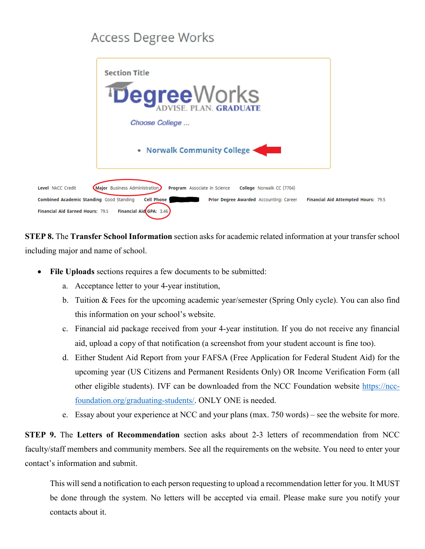# **Access Degree Works**



**STEP 8.** The **Transfer School Information** section asks for academic related information at your transfer school including major and name of school.

- File Uploads sections requires a few documents to be submitted:
	- a. Acceptance letter to your 4-year institution,
	- b. Tuition & Fees for the upcoming academic year/semester (Spring Only cycle). You can also find this information on your school's website.
	- c. Financial aid package received from your 4-year institution. If you do not receive any financial aid, upload a copy of that notification (a screenshot from your student account is fine too).
	- d. Either Student Aid Report from your FAFSA (Free Application for Federal Student Aid) for the upcoming year (US Citizens and Permanent Residents Only) OR Income Verification Form (all other eligible students). IVF can be downloaded from the NCC Foundation website [https://ncc](https://ncc-foundation.org/graduating-students/)[foundation.org/graduating-students/.](https://ncc-foundation.org/graduating-students/) ONLY ONE is needed.
	- e. Essay about your experience at NCC and your plans (max. 750 words) see the website for more.

**STEP 9.** The **Letters of Recommendation** section asks about 2-3 letters of recommendation from NCC faculty/staff members and community members. See all the requirements on the website. You need to enter your contact's information and submit.

This will send a notification to each person requesting to upload a recommendation letter for you. It MUST be done through the system. No letters will be accepted via email. Please make sure you notify your contacts about it.